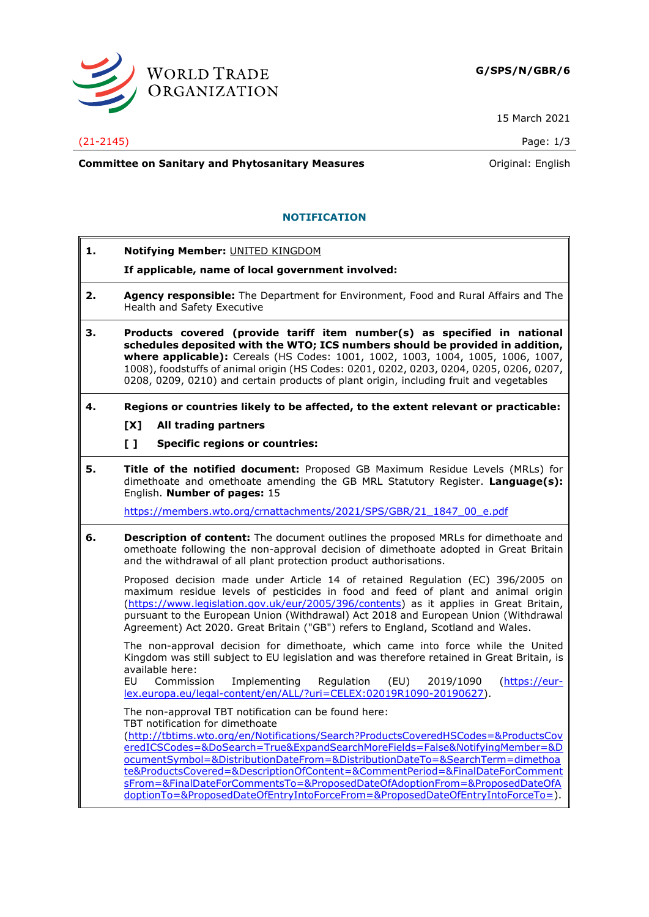

15 March 2021

## (21-2145) Page: 1/3

**Committee on Sanitary and Phytosanitary Measures Committee on Sanitary and Phytosanitary Measures Committee And American** 

## **NOTIFICATION**

- **1. Notifying Member:** UNITED KINGDOM
	- **If applicable, name of local government involved:**
- **2. Agency responsible:** The Department for Environment, Food and Rural Affairs and The Health and Safety Executive
- **3. Products covered (provide tariff item number(s) as specified in national schedules deposited with the WTO; ICS numbers should be provided in addition, where applicable):** Cereals (HS Codes: 1001, 1002, 1003, 1004, 1005, 1006, 1007, 1008), foodstuffs of animal origin (HS Codes: 0201, 0202, 0203, 0204, 0205, 0206, 0207, 0208, 0209, 0210) and certain products of plant origin, including fruit and vegetables
- **4. Regions or countries likely to be affected, to the extent relevant or practicable:**
	- **[X] All trading partners**
	- **[ ] Specific regions or countries:**
- **5. Title of the notified document:** Proposed GB Maximum Residue Levels (MRLs) for dimethoate and omethoate amending the GB MRL Statutory Register. **Language(s):** English. **Number of pages:** 15

[https://members.wto.org/crnattachments/2021/SPS/GBR/21\\_1847\\_00\\_e.pdf](https://members.wto.org/crnattachments/2021/SPS/GBR/21_1847_00_e.pdf)

**6. Description of content:** The document outlines the proposed MRLs for dimethoate and omethoate following the non-approval decision of dimethoate adopted in Great Britain and the withdrawal of all plant protection product authorisations.

Proposed decision made under Article 14 of retained Regulation (EC) 396/2005 on maximum residue levels of pesticides in food and feed of plant and animal origin [\(https://www.legislation.gov.uk/eur/2005/396/contents\)](https://www.legislation.gov.uk/eur/2005/396/contents) as it applies in Great Britain, pursuant to the European Union (Withdrawal) Act 2018 and European Union (Withdrawal Agreement) Act 2020. Great Britain ("GB") refers to England, Scotland and Wales.

The non-approval decision for dimethoate, which came into force while the United Kingdom was still subject to EU legislation and was therefore retained in Great Britain, is available here:

EU Commission Implementing Regulation (EU) 2019/1090 [\(https://eur](https://eur-lex.europa.eu/legal-content/en/ALL/?uri=CELEX:02019R1090-20190627)[lex.europa.eu/legal-content/en/ALL/?uri=CELEX:02019R1090-20190627\)](https://eur-lex.europa.eu/legal-content/en/ALL/?uri=CELEX:02019R1090-20190627).

The non-approval TBT notification can be found here: TBT notification for [dimethoate](http://tbtims.wto.org/en/Notifications/Search?ProductsCoveredHSCodes=&ProductsCoveredICSCodes=&DoSearch=True&ExpandSearchMoreFields=False&NotifyingMember=&DocumentSymbol=&DistributionDateFrom=&DistributionDateTo=&SearchTerm=dimethoate&ProductsCovered=&DescriptionOfContent=&CommentPeriod=&FinalDateForCommentsFrom=&FinalDateForCommentsTo=&ProposedDateOfAdoptionFrom=&ProposedDateOfAdoptionTo=&ProposedDateOfEntryIntoForceFrom=&ProposedDateOfEntryIntoForceTo=)

[\(http://tbtims.wto.org/en/Notifications/Search?ProductsCoveredHSCodes=&ProductsCov](http://tbtims.wto.org/en/Notifications/Search?ProductsCoveredHSCodes=&ProductsCoveredICSCodes=&DoSearch=True&ExpandSearchMoreFields=False&NotifyingMember=&DocumentSymbol=&DistributionDateFrom=&DistributionDateTo=&SearchTerm=dimethoate&ProductsCovered=&DescriptionOfContent=&CommentPeriod=&FinalDateForCommentsFrom=&FinalDateForCommentsTo=&ProposedDateOfAdoptionFrom=&ProposedDateOfAdoptionTo=&ProposedDateOfEntryIntoForceFrom=&ProposedDateOfEntryIntoForceTo=) [eredICSCodes=&DoSearch=True&ExpandSearchMoreFields=False&NotifyingMember=&D](http://tbtims.wto.org/en/Notifications/Search?ProductsCoveredHSCodes=&ProductsCoveredICSCodes=&DoSearch=True&ExpandSearchMoreFields=False&NotifyingMember=&DocumentSymbol=&DistributionDateFrom=&DistributionDateTo=&SearchTerm=dimethoate&ProductsCovered=&DescriptionOfContent=&CommentPeriod=&FinalDateForCommentsFrom=&FinalDateForCommentsTo=&ProposedDateOfAdoptionFrom=&ProposedDateOfAdoptionTo=&ProposedDateOfEntryIntoForceFrom=&ProposedDateOfEntryIntoForceTo=) [ocumentSymbol=&DistributionDateFrom=&DistributionDateTo=&SearchTerm=dimethoa](http://tbtims.wto.org/en/Notifications/Search?ProductsCoveredHSCodes=&ProductsCoveredICSCodes=&DoSearch=True&ExpandSearchMoreFields=False&NotifyingMember=&DocumentSymbol=&DistributionDateFrom=&DistributionDateTo=&SearchTerm=dimethoate&ProductsCovered=&DescriptionOfContent=&CommentPeriod=&FinalDateForCommentsFrom=&FinalDateForCommentsTo=&ProposedDateOfAdoptionFrom=&ProposedDateOfAdoptionTo=&ProposedDateOfEntryIntoForceFrom=&ProposedDateOfEntryIntoForceTo=) [te&ProductsCovered=&DescriptionOfContent=&CommentPeriod=&FinalDateForComment](http://tbtims.wto.org/en/Notifications/Search?ProductsCoveredHSCodes=&ProductsCoveredICSCodes=&DoSearch=True&ExpandSearchMoreFields=False&NotifyingMember=&DocumentSymbol=&DistributionDateFrom=&DistributionDateTo=&SearchTerm=dimethoate&ProductsCovered=&DescriptionOfContent=&CommentPeriod=&FinalDateForCommentsFrom=&FinalDateForCommentsTo=&ProposedDateOfAdoptionFrom=&ProposedDateOfAdoptionTo=&ProposedDateOfEntryIntoForceFrom=&ProposedDateOfEntryIntoForceTo=) [sFrom=&FinalDateForCommentsTo=&ProposedDateOfAdoptionFrom=&ProposedDateOfA](http://tbtims.wto.org/en/Notifications/Search?ProductsCoveredHSCodes=&ProductsCoveredICSCodes=&DoSearch=True&ExpandSearchMoreFields=False&NotifyingMember=&DocumentSymbol=&DistributionDateFrom=&DistributionDateTo=&SearchTerm=dimethoate&ProductsCovered=&DescriptionOfContent=&CommentPeriod=&FinalDateForCommentsFrom=&FinalDateForCommentsTo=&ProposedDateOfAdoptionFrom=&ProposedDateOfAdoptionTo=&ProposedDateOfEntryIntoForceFrom=&ProposedDateOfEntryIntoForceTo=) [doptionTo=&ProposedDateOfEntryIntoForceFrom=&ProposedDateOfEntryIntoForceTo=\)](http://tbtims.wto.org/en/Notifications/Search?ProductsCoveredHSCodes=&ProductsCoveredICSCodes=&DoSearch=True&ExpandSearchMoreFields=False&NotifyingMember=&DocumentSymbol=&DistributionDateFrom=&DistributionDateTo=&SearchTerm=dimethoate&ProductsCovered=&DescriptionOfContent=&CommentPeriod=&FinalDateForCommentsFrom=&FinalDateForCommentsTo=&ProposedDateOfAdoptionFrom=&ProposedDateOfAdoptionTo=&ProposedDateOfEntryIntoForceFrom=&ProposedDateOfEntryIntoForceTo=).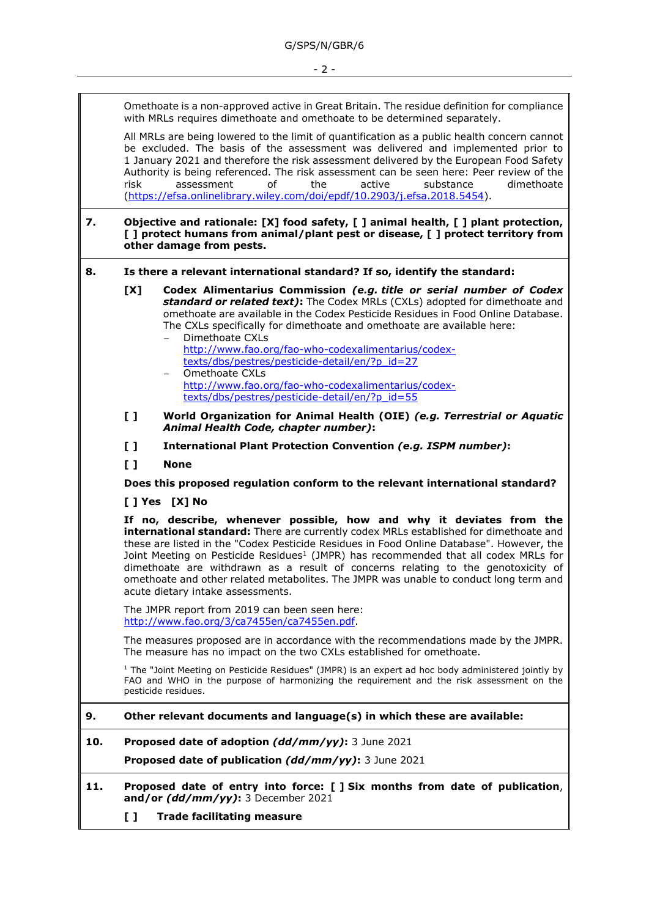Omethoate is a non-approved active in Great Britain. The residue definition for compliance with MRLs requires dimethoate and omethoate to be determined separately.

All MRLs are being lowered to the limit of quantification as a public health concern cannot be excluded. The basis of the assessment was delivered and implemented prior to 1 January 2021 and therefore the risk assessment delivered by the European Food Safety Authority is being referenced. The risk assessment can be seen here: [Peer review of the](https://efsa.onlinelibrary.wiley.com/doi/epdf/10.2903/j.efsa.2018.5454)  risk [assessment](https://efsa.onlinelibrary.wiley.com/doi/epdf/10.2903/j.efsa.2018.5454) of the active substance dimethoate [\(https://efsa.onlinelibrary.wiley.com/doi/epdf/10.2903/j.efsa.2018.5454\)](https://efsa.onlinelibrary.wiley.com/doi/epdf/10.2903/j.efsa.2018.5454).

## **7. Objective and rationale: [X] food safety, [ ] animal health, [ ] plant protection, [ ] protect humans from animal/plant pest or disease, [ ] protect territory from other damage from pests.**

- **8. Is there a relevant international standard? If so, identify the standard:**
	- **[X] Codex Alimentarius Commission** *(e.g. title or serial number of Codex standard or related text)***:** The Codex MRLs (CXLs) adopted for dimethoate and omethoate are available in the Codex Pesticide Residues in Food Online Database. The CXLs specifically for dimethoate and omethoate are available here:
		- Dimethoate CXLs [http://www.fao.org/fao-who-codexalimentarius/codex](http://www.fao.org/fao-who-codexalimentarius/codex-texts/dbs/pestres/pesticide-detail/en/?p_id=27)[texts/dbs/pestres/pesticide-detail/en/?p\\_id=27](http://www.fao.org/fao-who-codexalimentarius/codex-texts/dbs/pestres/pesticide-detail/en/?p_id=27) − Omethoate CXLs
		- [http://www.fao.org/fao-who-codexalimentarius/codex](http://www.fao.org/fao-who-codexalimentarius/codex-texts/dbs/pestres/pesticide-detail/en/?p_id=55)[texts/dbs/pestres/pesticide-detail/en/?p\\_id=55](http://www.fao.org/fao-who-codexalimentarius/codex-texts/dbs/pestres/pesticide-detail/en/?p_id=55)
	- **[ ] World Organization for Animal Health (OIE)** *(e.g. Terrestrial or Aquatic Animal Health Code, chapter number)***:**
	- **[ ] International Plant Protection Convention** *(e.g. ISPM number)***:**
	- **[ ] None**

**Does this proposed regulation conform to the relevant international standard?** 

**[ ] Yes [X] No**

**If no, describe, whenever possible, how and why it deviates from the international standard:** There are currently codex MRLs established for dimethoate and these are listed in the "Codex Pesticide Residues in Food Online Database". However, the Joint Meeting on Pesticide Residues<sup>1</sup> (JMPR) has recommended that all codex MRLs for dimethoate are withdrawn as a result of concerns relating to the genotoxicity of omethoate and other related metabolites. The JMPR was unable to conduct long term and acute dietary intake assessments.

The JMPR report from 2019 can been seen here: [http://www.fao.org/3/ca7455en/ca7455en.pdf.](http://www.fao.org/3/ca7455en/ca7455en.pdf)

The measures proposed are in accordance with the recommendations made by the JMPR. The measure has no impact on the two CXLs established for omethoate.

<sup>1</sup> The "Joint Meeting on Pesticide Residues" (JMPR) is an expert ad hoc body administered jointly by FAO and WHO in the purpose of harmonizing the requirement and the risk assessment on the pesticide residues.

- **9. Other relevant documents and language(s) in which these are available:**
- **10. Proposed date of adoption** *(dd/mm/yy)***:** 3 June 2021
	- **Proposed date of publication** *(dd/mm/yy)***:** 3 June 2021
- **11. Proposed date of entry into force: [ ] Six months from date of publication**, **and/or** *(dd/mm/yy)***:** 3 December 2021
	- **[ ] Trade facilitating measure**